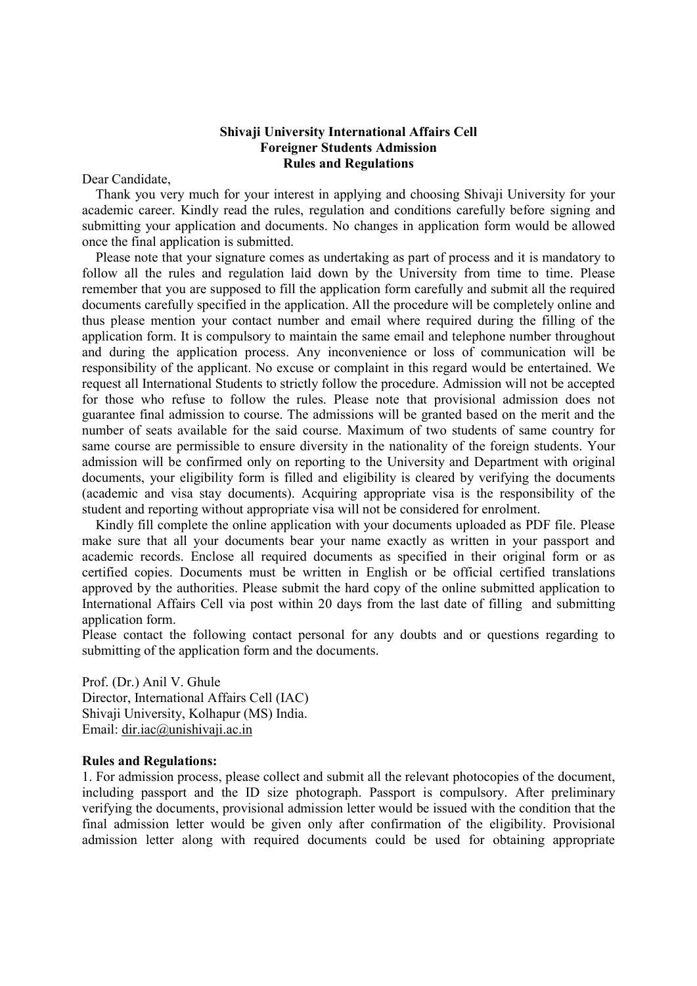## Shivaji University International Affairs Cell Foreigner Students Admission Rules and Regulations

Dear Candidate,

 Thank you very much for your interest in applying and choosing Shivaji University for your academic career. Kindly read the rules, regulation and conditions carefully before signing and submitting your application and documents. No changes in application form would be allowed once the final application is submitted.

 Please note that your signature comes as undertaking as part of process and it is mandatory to follow all the rules and regulation laid down by the University from time to time. Please remember that you are supposed to fill the application form carefully and submit all the required documents carefully specified in the application. All the procedure will be completely online and thus please mention your contact number and email where required during the filling of the application form. It is compulsory to maintain the same email and telephone number throughout and during the application process. Any inconvenience or loss of communication will be responsibility of the applicant. No excuse or complaint in this regard would be entertained. We request all International Students to strictly follow the procedure. Admission will not be accepted for those who refuse to follow the rules. Please note that provisional admission does not guarantee final admission to course. The admissions will be granted based on the merit and the number of seats available for the said course. Maximum of two students of same country for same course are permissible to ensure diversity in the nationality of the foreign students. Your admission will be confirmed only on reporting to the University and Department with original documents, your eligibility form is filled and eligibility is cleared by verifying the documents (academic and visa stay documents). Acquiring appropriate visa is the responsibility of the student and reporting without appropriate visa will not be considered for enrolment.

 Kindly fill complete the online application with your documents uploaded as PDF file. Please make sure that all your documents bear your name exactly as written in your passport and academic records. Enclose all required documents as specified in their original form or as certified copies. Documents must be written in English or be official certified translations approved by the authorities. Please submit the hard copy of the online submitted application to International Affairs Cell via post within 20 days from the last date of filling and submitting application form.

Please contact the following contact personal for any doubts and or questions regarding to submitting of the application form and the documents.

Prof. (Dr.) Anil V. Ghule Director, International Affairs Cell (IAC) Shivaji University, Kolhapur (MS) India. Email: dir.iac@unishivaji.ac.in

## Rules and Regulations:

1. For admission process, please collect and submit all the relevant photocopies of the document, including passport and the ID size photograph. Passport is compulsory. After preliminary verifying the documents, provisional admission letter would be issued with the condition that the final admission letter would be given only after confirmation of the eligibility. Provisional admission letter along with required documents could be used for obtaining appropriate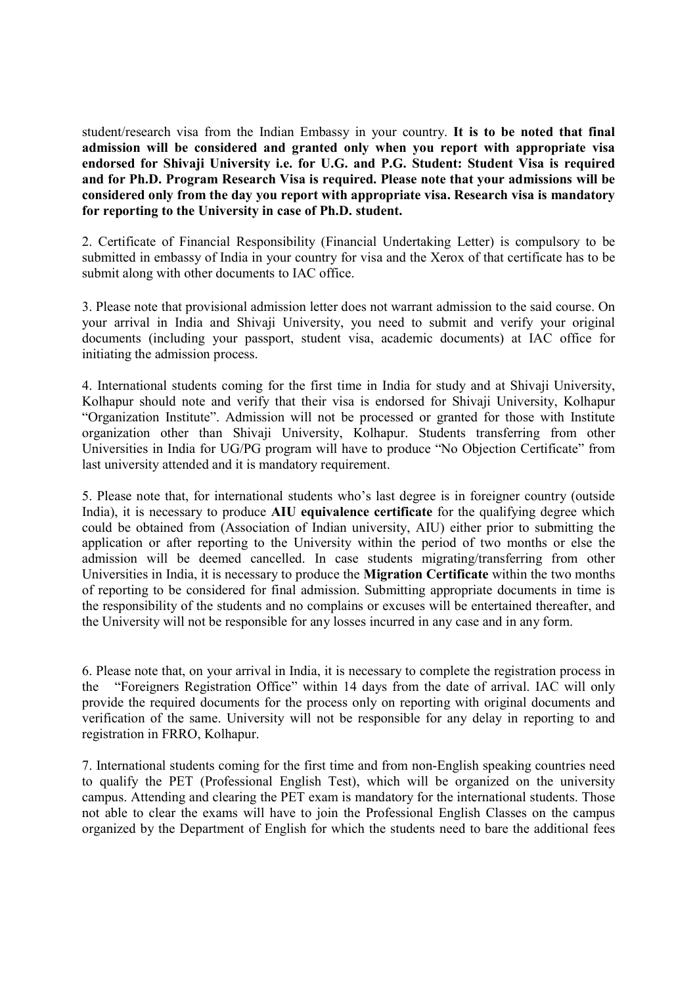student/research visa from the Indian Embassy in your country. It is to be noted that final admission will be considered and granted only when you report with appropriate visa endorsed for Shivaji University i.e. for U.G. and P.G. Student: Student Visa is required and for Ph.D. Program Research Visa is required. Please note that your admissions will be considered only from the day you report with appropriate visa. Research visa is mandatory for reporting to the University in case of Ph.D. student.

2. Certificate of Financial Responsibility (Financial Undertaking Letter) is compulsory to be submitted in embassy of India in your country for visa and the Xerox of that certificate has to be submit along with other documents to IAC office.

3. Please note that provisional admission letter does not warrant admission to the said course. On your arrival in India and Shivaji University, you need to submit and verify your original documents (including your passport, student visa, academic documents) at IAC office for initiating the admission process.

4. International students coming for the first time in India for study and at Shivaji University, Kolhapur should note and verify that their visa is endorsed for Shivaji University, Kolhapur "Organization Institute". Admission will not be processed or granted for those with Institute organization other than Shivaji University, Kolhapur. Students transferring from other Universities in India for UG/PG program will have to produce "No Objection Certificate" from last university attended and it is mandatory requirement.

5. Please note that, for international students who's last degree is in foreigner country (outside India), it is necessary to produce AIU equivalence certificate for the qualifying degree which could be obtained from (Association of Indian university, AIU) either prior to submitting the application or after reporting to the University within the period of two months or else the admission will be deemed cancelled. In case students migrating/transferring from other Universities in India, it is necessary to produce the Migration Certificate within the two months of reporting to be considered for final admission. Submitting appropriate documents in time is the responsibility of the students and no complains or excuses will be entertained thereafter, and the University will not be responsible for any losses incurred in any case and in any form.

6. Please note that, on your arrival in India, it is necessary to complete the registration process in the "Foreigners Registration Office" within 14 days from the date of arrival. IAC will only provide the required documents for the process only on reporting with original documents and verification of the same. University will not be responsible for any delay in reporting to and registration in FRRO, Kolhapur.

7. International students coming for the first time and from non-English speaking countries need to qualify the PET (Professional English Test), which will be organized on the university campus. Attending and clearing the PET exam is mandatory for the international students. Those not able to clear the exams will have to join the Professional English Classes on the campus organized by the Department of English for which the students need to bare the additional fees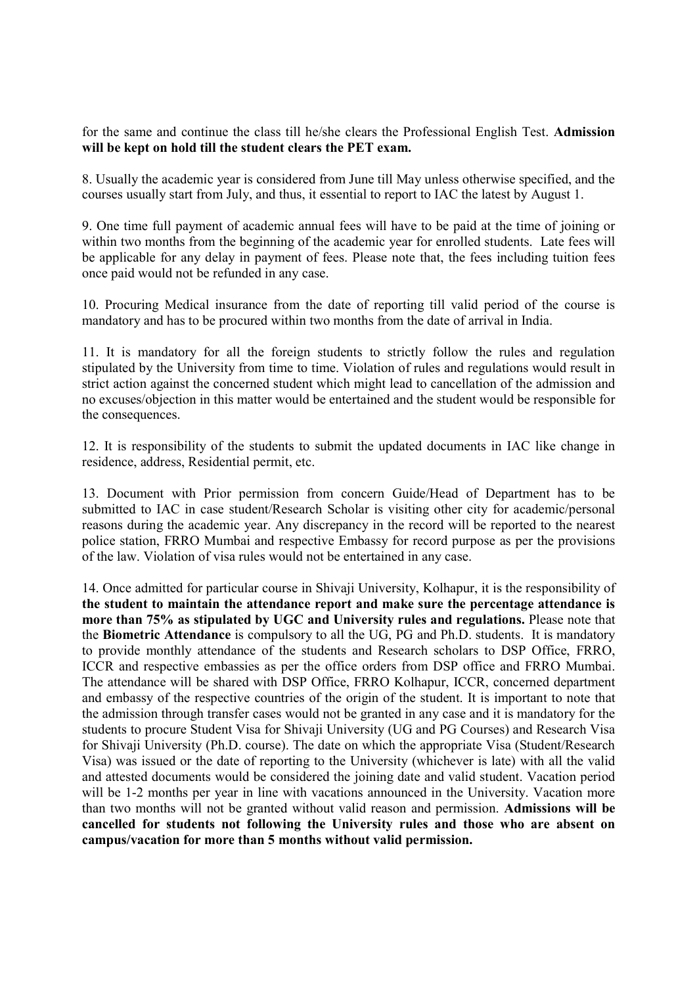for the same and continue the class till he/she clears the Professional English Test. Admission will be kept on hold till the student clears the PET exam.

8. Usually the academic year is considered from June till May unless otherwise specified, and the courses usually start from July, and thus, it essential to report to IAC the latest by August 1.

9. One time full payment of academic annual fees will have to be paid at the time of joining or within two months from the beginning of the academic year for enrolled students. Late fees will be applicable for any delay in payment of fees. Please note that, the fees including tuition fees once paid would not be refunded in any case.

10. Procuring Medical insurance from the date of reporting till valid period of the course is mandatory and has to be procured within two months from the date of arrival in India.

11. It is mandatory for all the foreign students to strictly follow the rules and regulation stipulated by the University from time to time. Violation of rules and regulations would result in strict action against the concerned student which might lead to cancellation of the admission and no excuses/objection in this matter would be entertained and the student would be responsible for the consequences.

12. It is responsibility of the students to submit the updated documents in IAC like change in residence, address, Residential permit, etc.

13. Document with Prior permission from concern Guide/Head of Department has to be submitted to IAC in case student/Research Scholar is visiting other city for academic/personal reasons during the academic year. Any discrepancy in the record will be reported to the nearest police station, FRRO Mumbai and respective Embassy for record purpose as per the provisions of the law. Violation of visa rules would not be entertained in any case.

14. Once admitted for particular course in Shivaji University, Kolhapur, it is the responsibility of the student to maintain the attendance report and make sure the percentage attendance is more than 75% as stipulated by UGC and University rules and regulations. Please note that the Biometric Attendance is compulsory to all the UG, PG and Ph.D. students. It is mandatory to provide monthly attendance of the students and Research scholars to DSP Office, FRRO, ICCR and respective embassies as per the office orders from DSP office and FRRO Mumbai. The attendance will be shared with DSP Office, FRRO Kolhapur, ICCR, concerned department and embassy of the respective countries of the origin of the student. It is important to note that the admission through transfer cases would not be granted in any case and it is mandatory for the students to procure Student Visa for Shivaji University (UG and PG Courses) and Research Visa for Shivaji University (Ph.D. course). The date on which the appropriate Visa (Student/Research Visa) was issued or the date of reporting to the University (whichever is late) with all the valid and attested documents would be considered the joining date and valid student. Vacation period will be 1-2 months per year in line with vacations announced in the University. Vacation more than two months will not be granted without valid reason and permission. Admissions will be cancelled for students not following the University rules and those who are absent on campus/vacation for more than 5 months without valid permission.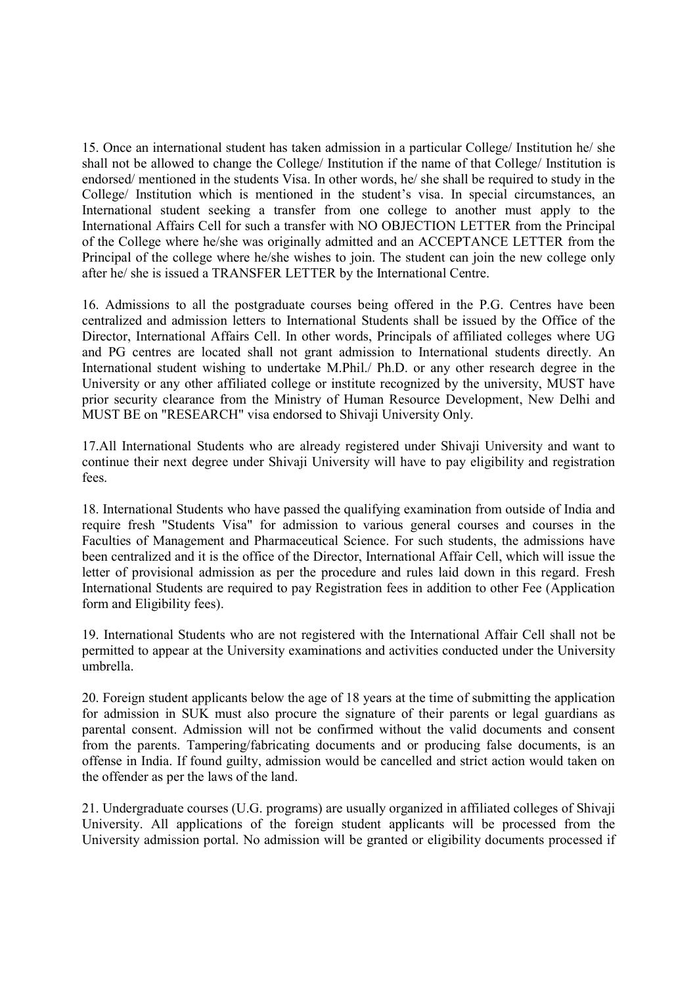15. Once an international student has taken admission in a particular College/ Institution he/ she shall not be allowed to change the College/ Institution if the name of that College/ Institution is endorsed/ mentioned in the students Visa. In other words, he/ she shall be required to study in the College/ Institution which is mentioned in the student's visa. In special circumstances, an International student seeking a transfer from one college to another must apply to the International Affairs Cell for such a transfer with NO OBJECTION LETTER from the Principal of the College where he/she was originally admitted and an ACCEPTANCE LETTER from the Principal of the college where he/she wishes to join. The student can join the new college only after he/ she is issued a TRANSFER LETTER by the International Centre.

16. Admissions to all the postgraduate courses being offered in the P.G. Centres have been centralized and admission letters to International Students shall be issued by the Office of the Director, International Affairs Cell. In other words, Principals of affiliated colleges where UG and PG centres are located shall not grant admission to International students directly. An International student wishing to undertake M.Phil./ Ph.D. or any other research degree in the University or any other affiliated college or institute recognized by the university, MUST have prior security clearance from the Ministry of Human Resource Development, New Delhi and MUST BE on "RESEARCH" visa endorsed to Shivaji University Only.

17.All International Students who are already registered under Shivaji University and want to continue their next degree under Shivaji University will have to pay eligibility and registration fees.

18. International Students who have passed the qualifying examination from outside of India and require fresh "Students Visa" for admission to various general courses and courses in the Faculties of Management and Pharmaceutical Science. For such students, the admissions have been centralized and it is the office of the Director, International Affair Cell, which will issue the letter of provisional admission as per the procedure and rules laid down in this regard. Fresh International Students are required to pay Registration fees in addition to other Fee (Application form and Eligibility fees).

19. International Students who are not registered with the International Affair Cell shall not be permitted to appear at the University examinations and activities conducted under the University umbrella.

20. Foreign student applicants below the age of 18 years at the time of submitting the application for admission in SUK must also procure the signature of their parents or legal guardians as parental consent. Admission will not be confirmed without the valid documents and consent from the parents. Tampering/fabricating documents and or producing false documents, is an offense in India. If found guilty, admission would be cancelled and strict action would taken on the offender as per the laws of the land.

21. Undergraduate courses (U.G. programs) are usually organized in affiliated colleges of Shivaji University. All applications of the foreign student applicants will be processed from the University admission portal. No admission will be granted or eligibility documents processed if